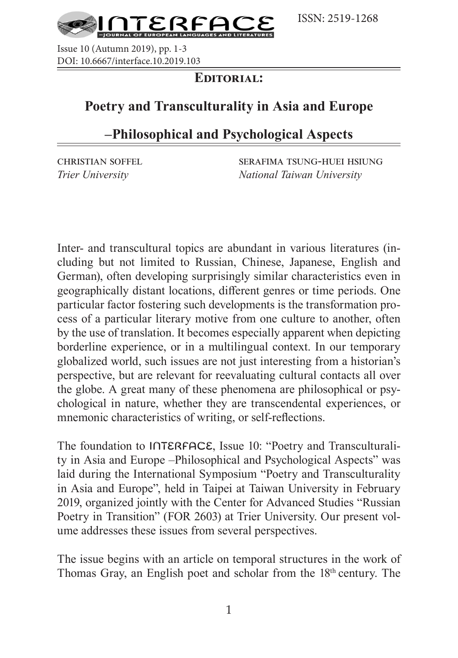

Issue 10 (Autumn 2019), pp. 1-3 DOI: 10.6667/interface.10.2019.103

### **Editorial:**

# **Poetry and Transculturality in Asia and Europe**

# **–Philosophical and Psychological Aspects**

christian soffel serafima tsung-huei hsiung *Trier University National Taiwan University*

Inter- and transcultural topics are abundant in various literatures (including but not limited to Russian, Chinese, Japanese, English and German), often developing surprisingly similar characteristics even in geographically distant locations, different genres or time periods. One particular factor fostering such developments is the transformation process of a particular literary motive from one culture to another, often by the use of translation. It becomes especially apparent when depicting borderline experience, or in a multilingual context. In our temporary globalized world, such issues are not just interesting from a historian's perspective, but are relevant for reevaluating cultural contacts all over the globe. A great many of these phenomena are philosophical or psychological in nature, whether they are transcendental experiences, or mnemonic characteristics of writing, or self-reflections.

The foundation to INTERFACE, Issue 10: "Poetry and Transculturality in Asia and Europe –Philosophical and Psychological Aspects" was laid during the International Symposium "Poetry and Transculturality in Asia and Europe", held in Taipei at Taiwan University in February 2019, organized jointly with the Center for Advanced Studies "Russian Poetry in Transition" (FOR 2603) at Trier University. Our present volume addresses these issues from several perspectives.

The issue begins with an article on temporal structures in the work of Thomas Gray, an English poet and scholar from the 18<sup>th</sup> century. The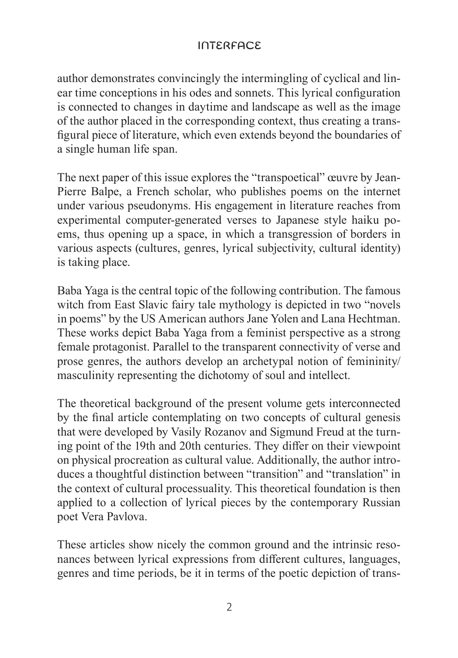### interface

author demonstrates convincingly the intermingling of cyclical and linear time conceptions in his odes and sonnets. This lyrical configuration is connected to changes in daytime and landscape as well as the image of the author placed in the corresponding context, thus creating a transfigural piece of literature, which even extends beyond the boundaries of a single human life span.

The next paper of this issue explores the "transpoetical" œuvre by Jean-Pierre Balpe, a French scholar, who publishes poems on the internet under various pseudonyms. His engagement in literature reaches from experimental computer-generated verses to Japanese style haiku poems, thus opening up a space, in which a transgression of borders in various aspects (cultures, genres, lyrical subjectivity, cultural identity) is taking place.

Baba Yaga is the central topic of the following contribution. The famous witch from East Slavic fairy tale mythology is depicted in two "novels in poems" by the US American authors Jane Yolen and Lana Hechtman. These works depict Baba Yaga from a feminist perspective as a strong female protagonist. Parallel to the transparent connectivity of verse and prose genres, the authors develop an archetypal notion of femininity/ masculinity representing the dichotomy of soul and intellect.

The theoretical background of the present volume gets interconnected by the final article contemplating on two concepts of cultural genesis that were developed by Vasily Rozanov and Sigmund Freud at the turning point of the 19th and 20th centuries. They differ on their viewpoint on physical procreation as cultural value. Additionally, the author introduces a thoughtful distinction between "transition" and "translation" in the context of cultural processuality. This theoretical foundation is then applied to a collection of lyrical pieces by the contemporary Russian poet Vera Pavlova.

These articles show nicely the common ground and the intrinsic resonances between lyrical expressions from different cultures, languages, genres and time periods, be it in terms of the poetic depiction of trans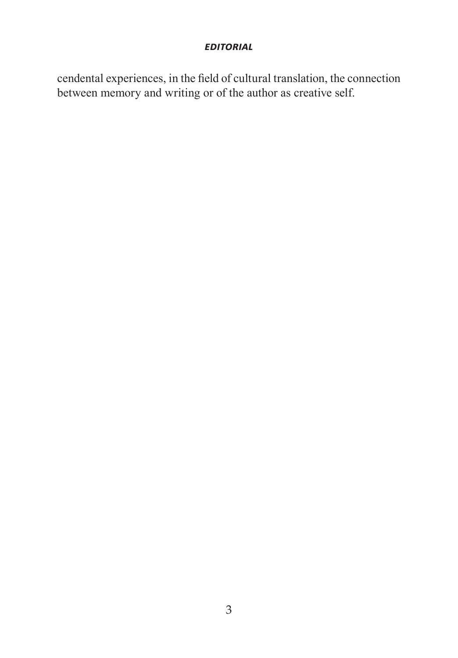#### *editorial*

cendental experiences, in the field of cultural translation, the connection between memory and writing or of the author as creative self.